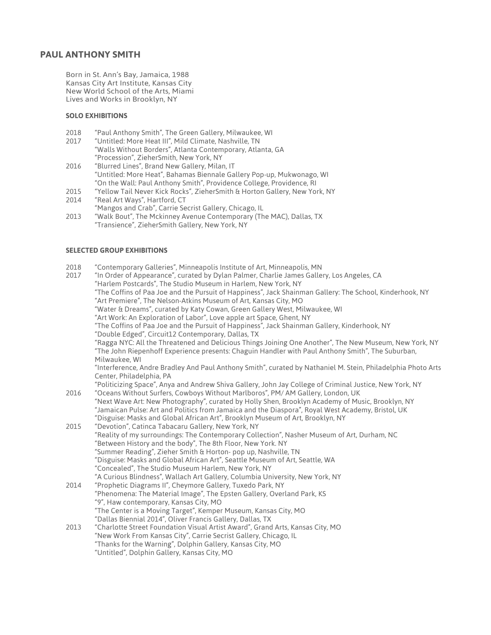### **PAUL ANTHONY SMITH**

Born in St. Ann's Bay, Jamaica, 1988 Kansas City Art Institute, Kansas City New World School of the Arts, Miami Lives and Works in Brooklyn, NY

#### **SOLO EXHIBITIONS**

- 2018 "Paul Anthony Smith", The Green Gallery, Milwaukee, WI
- "Untitled: More Heat III", Mild Climate, Nashville, TN "Walls Without Borders", Atlanta Contemporary, Atlanta, GA
- "Procession", ZieherSmith, New York, NY 2016 "Blurred Lines", Brand New Gallery, Milan, IT
- "Untitled: More Heat", Bahamas Biennale Gallery Pop-up, Mukwonago, WI "On the Wall: Paul Anthony Smith", Providence College, Providence, RI
- 2015 "Yellow Tail Never Kick Rocks", ZieherSmith & Horton Gallery, New York, NY
- 2014 "Real Art Ways", Hartford, CT
- "Mangos and Crab", Carrie Secrist Gallery, Chicago, IL 2013 "Walk Bout", The Mckinney Avenue Contemporary (The MAC), Dallas, TX "Transience", ZieherSmith Gallery, New York, NY

#### **SELECTED GROUP EXHIBITIONS**

- 2018 "Contemporary Galleries", Minneapolis Institute of Art, Minneapolis, MN
- 2017 "In Order of Appearance", curated by Dylan Palmer, Charlie James Gallery, Los Angeles, CA "Harlem Postcards", The Studio Museum in Harlem, New York, NY
	- "The Coffins of Paa Joe and the Pursuit of Happiness", Jack Shainman Gallery: The School, Kinderhook, NY "Art Premiere", The Nelson-Atkins Museum of Art, Kansas City, MO
	- "Water & Dreams", curated by Katy Cowan, Green Gallery West, Milwaukee, WI
	- "Art Work: An Exploration of Labor", Love apple art Space, Ghent, NY
	- "The Coffins of Paa Joe and the Pursuit of Happiness", Jack Shainman Gallery, Kinderhook, NY
	- "Double Edged", Circuit12 Contemporary, Dallas, TX

"Ragga NYC: All the Threatened and Delicious Things Joining One Another", The New Museum, New York, NY "The John Riepenhoff Experience presents: Chaguin Handler with Paul Anthony Smith", The Suburban, Milwaukee, WI

"Interference, Andre Bradley And Paul Anthony Smith", curated by Nathaniel M. Stein, Philadelphia Photo Arts Center, Philadelphia, PA

"Politicizing Space", Anya and Andrew Shiva Gallery, John Jay College of Criminal Justice, New York, NY 2016 "Oceans Without Surfers, Cowboys Without Marlboros", PM/ AM Gallery, London, UK

- "Next Wave Art: New Photography", curated by Holly Shen, Brooklyn Academy of Music, Brooklyn, NY "Jamaican Pulse: Art and Politics from Jamaica and the Diaspora", Royal West Academy, Bristol, UK "Disguise: Masks and Global African Art", Brooklyn Museum of Art, Brooklyn, NY
- 2015 "Devotion", Catinca Tabacaru Gallery, New York, NY "Reality of my surroundings: The Contemporary Collection", Nasher Museum of Art, Durham, NC "Between History and the body", The 8th Floor, New York. NY "Summer Reading", Zieher Smith & Horton- pop up, Nashville, TN "Disguise: Masks and Global African Art", Seattle Museum of Art, Seattle, WA "Concealed", The Studio Museum Harlem, New York, NY "A Curious Blindness", Wallach Art Gallery, Columbia University, New York, NY 2014 "Prophetic Diagrams II", Cheymore Gallery, Tuxedo Park, NY "Phenomena: The Material Image", The Epsten Gallery, Overland Park, KS "9", Haw contemporary, Kansas City, MO "The Center is a Moving Target", Kemper Museum, Kansas City, MO
	- "Dallas Biennial 2014", Oliver Francis Gallery, Dallas, TX
- 2013 "Charlotte Street Foundation Visual Artist Award", Grand Arts, Kansas City, MO "New Work From Kansas City", Carrie Secrist Gallery, Chicago, IL
	- "Thanks for the Warning", Dolphin Gallery, Kansas City, MO
		- "Untitled", Dolphin Gallery, Kansas City, MO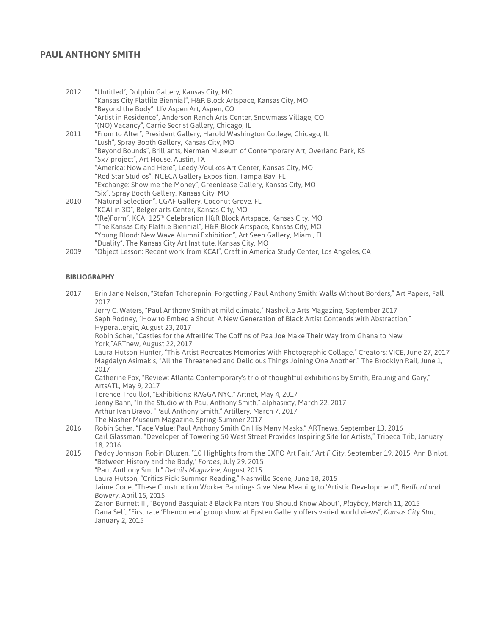# **PAUL ANTHONY SMITH**

| 2012 | "Untitled", Dolphin Gallery, Kansas City, MO                                       |
|------|------------------------------------------------------------------------------------|
|      | "Kansas City Flatfile Biennial", H&R Block Artspace, Kansas City, MO               |
|      | "Beyond the Body", LIV Aspen Art, Aspen, CO                                        |
|      | "Artist in Residence", Anderson Ranch Arts Center, Snowmass Village, CO            |
|      | "(NO) Vacancy", Carrie Secrist Gallery, Chicago, IL                                |
| 2011 | "From to After", President Gallery, Harold Washington College, Chicago, IL         |
|      | "Lush", Spray Booth Gallery, Kansas City, MO                                       |
|      | "Beyond Bounds", Brilliants, Nerman Museum of Contemporary Art, Overland Park, KS  |
|      | "5x7 project", Art House, Austin, TX                                               |
|      | "America: Now and Here", Leedy-Voulkos Art Center, Kansas City, MO                 |
|      | "Red Star Studios", NCECA Gallery Exposition, Tampa Bay, FL                        |
|      | "Exchange: Show me the Money", Greenlease Gallery, Kansas City, MO                 |
|      | "Six", Spray Booth Gallery, Kansas City, MO                                        |
| 2010 | "Natural Selection", CGAF Gallery, Coconut Grove, FL                               |
|      | "KCAI in 3D", Belger arts Center, Kansas City, MO                                  |
|      | "(Re)Form", KCAI 125 <sup>th</sup> Celebration H&R Block Artspace, Kansas City, MO |
|      | "The Kansas City Flatfile Biennial", H&R Block Artspace, Kansas City, MO           |
|      | "Young Blood: New Wave Alumni Exhibition", Art Seen Gallery, Miami, FL             |
|      | "Duality", The Kansas City Art Institute, Kansas City, MO                          |

2009 "Object Lesson: Recent work from KCAI", Craft in America Study Center, Los Angeles, CA

#### **BIBLIOGRAPHY**

2017 Erin Jane Nelson, "Stefan Tcherepnin: Forgetting / Paul Anthony Smith: Walls Without Borders," Art Papers, Fall 2017

Jerry C. Waters, "Paul Anthony Smith at mild climate," Nashville Arts Magazine, September 2017 Seph Rodney, "How to Embed a Shout: A New Generation of Black Artist Contends with Abstraction," Hyperallergic, August 23, 2017

Robin Scher, "Castles for the Afterlife: The Coffins of Paa Joe Make Their Way from Ghana to New York,"ARTnew, August 22, 2017

Laura Hutson Hunter, "This Artist Recreates Memories With Photographic Collage," Creators: VICE, June 27, 2017 Magdalyn Asimakis, "All the Threatened and Delicious Things Joining One Another," The Brooklyn Rail, June 1, 2017

Catherine Fox, "Review: Atlanta Contemporary's trio of thoughtful exhibitions by Smith, Braunig and Gary," ArtsATL, May 9, 2017

Terence Trouillot, "Exhibitions: RAGGA NYC," Artnet, May 4, 2017

Jenny Bahn, "In the Studio with Paul Anthony Smith," alphasixty, March 22, 2017

Arthur Ivan Bravo, "Paul Anthony Smith," Artillery, March 7, 2017

- The Nasher Museum Magazine, Spring-Summer 2017
- 2016 Robin Scher, "Face Value: Paul Anthony Smith On His Many Masks," ARTnews, September 13, 2016 Carl Glassman, "Developer of Towering 50 West Street Provides Inspiring Site for Artists," Tribeca Trib, January 18, 2016
- 2015 Paddy Johnson, Robin Dluzen, "10 Highlights from the EXPO Art Fair," *Art F City,* September 19, 2015. Ann Binlot, "Between History and the Body," *Forbes,* July 29, 2015 "Paul Anthony Smith," *Details Magazine,* August 2015 Laura Hutson, "Critics Pick: Summer Reading," Nashville Scene, June 18, 2015 Jaime Cone, "These Construction Worker Paintings Give New Meaning to 'Artistic Development'", *Bedford and Bowery*, April 15, 2015 Zaron Burnett III, "Beyond Basquiat: 8 Black Painters You Should Know About", *Playboy*, March 11, 2015 Dana Self, "First rate 'Phenomena' group show at Epsten Gallery offers varied world views", *Kansas City Star*, January 2, 2015